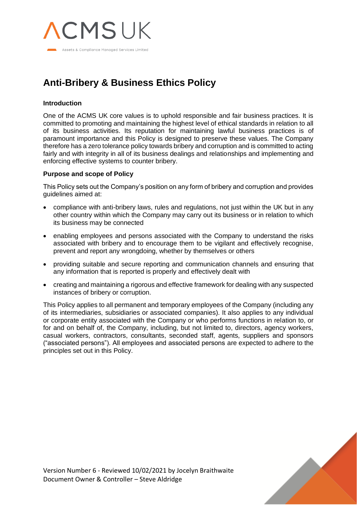

# **Anti-Bribery & Business Ethics Policy**

# **Introduction**

One of the ACMS UK core values is to uphold responsible and fair business practices. It is committed to promoting and maintaining the highest level of ethical standards in relation to all of its business activities. Its reputation for maintaining lawful business practices is of paramount importance and this Policy is designed to preserve these values. The Company therefore has a zero tolerance policy towards bribery and corruption and is committed to acting fairly and with integrity in all of its business dealings and relationships and implementing and enforcing effective systems to counter bribery.

## **Purpose and scope of Policy**

This Policy sets out the Company's position on any form of bribery and corruption and provides guidelines aimed at:

- compliance with anti-bribery laws, rules and regulations, not just within the UK but in any other country within which the Company may carry out its business or in relation to which its business may be connected
- enabling employees and persons associated with the Company to understand the risks associated with bribery and to encourage them to be vigilant and effectively recognise, prevent and report any wrongdoing, whether by themselves or others
- providing suitable and secure reporting and communication channels and ensuring that any information that is reported is properly and effectively dealt with
- creating and maintaining a rigorous and effective framework for dealing with any suspected instances of bribery or corruption.

This Policy applies to all permanent and temporary employees of the Company (including any of its intermediaries, subsidiaries or associated companies). It also applies to any individual or corporate entity associated with the Company or who performs functions in relation to, or for and on behalf of, the Company, including, but not limited to, directors, agency workers, casual workers, contractors, consultants, seconded staff, agents, suppliers and sponsors ("associated persons"). All employees and associated persons are expected to adhere to the principles set out in this Policy.

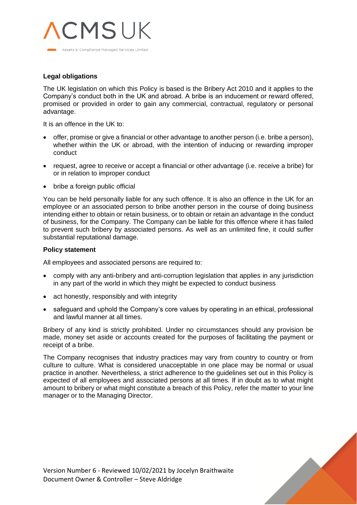

# **Legal obligations**

The UK legislation on which this Policy is based is the Bribery Act 2010 and it applies to the Company's conduct both in the UK and abroad. A bribe is an inducement or reward offered, promised or provided in order to gain any commercial, contractual, regulatory or personal advantage.

It is an offence in the UK to:

- offer, promise or give a financial or other advantage to another person (i.e. bribe a person), whether within the UK or abroad, with the intention of inducing or rewarding improper conduct
- request, agree to receive or accept a financial or other advantage (i.e. receive a bribe) for or in relation to improper conduct
- bribe a foreign public official

You can be held personally liable for any such offence. It is also an offence in the UK for an employee or an associated person to bribe another person in the course of doing business intending either to obtain or retain business, or to obtain or retain an advantage in the conduct of business, for the Company. The Company can be liable for this offence where it has failed to prevent such bribery by associated persons. As well as an unlimited fine, it could suffer substantial reputational damage.

## **Policy statement**

All employees and associated persons are required to:

- comply with any anti-bribery and anti-corruption legislation that applies in any jurisdiction in any part of the world in which they might be expected to conduct business
- act honestly, responsibly and with integrity
- safeguard and uphold the Company's core values by operating in an ethical, professional and lawful manner at all times.

Bribery of any kind is strictly prohibited. Under no circumstances should any provision be made, money set aside or accounts created for the purposes of facilitating the payment or receipt of a bribe.

The Company recognises that industry practices may vary from country to country or from culture to culture. What is considered unacceptable in one place may be normal or usual practice in another. Nevertheless, a strict adherence to the guidelines set out in this Policy is expected of all employees and associated persons at all times. If in doubt as to what might amount to bribery or what might constitute a breach of this Policy, refer the matter to your line manager or to the Managing Director.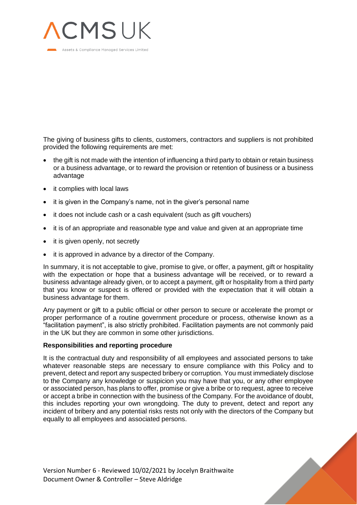

The giving of business gifts to clients, customers, contractors and suppliers is not prohibited provided the following requirements are met:

- the gift is not made with the intention of influencing a third party to obtain or retain business or a business advantage, or to reward the provision or retention of business or a business advantage
- it complies with local laws
- it is given in the Company's name, not in the giver's personal name
- it does not include cash or a cash equivalent (such as gift vouchers)
- it is of an appropriate and reasonable type and value and given at an appropriate time
- it is given openly, not secretly
- it is approved in advance by a director of the Company.

In summary, it is not acceptable to give, promise to give, or offer, a payment, gift or hospitality with the expectation or hope that a business advantage will be received, or to reward a business advantage already given, or to accept a payment, gift or hospitality from a third party that you know or suspect is offered or provided with the expectation that it will obtain a business advantage for them.

Any payment or gift to a public official or other person to secure or accelerate the prompt or proper performance of a routine government procedure or process, otherwise known as a "facilitation payment", is also strictly prohibited. Facilitation payments are not commonly paid in the UK but they are common in some other jurisdictions.

#### **Responsibilities and reporting procedure**

It is the contractual duty and responsibility of all employees and associated persons to take whatever reasonable steps are necessary to ensure compliance with this Policy and to prevent, detect and report any suspected bribery or corruption. You must immediately disclose to the Company any knowledge or suspicion you may have that you, or any other employee or associated person, has plans to offer, promise or give a bribe or to request, agree to receive or accept a bribe in connection with the business of the Company. For the avoidance of doubt, this includes reporting your own wrongdoing. The duty to prevent, detect and report any incident of bribery and any potential risks rests not only with the directors of the Company but equally to all employees and associated persons.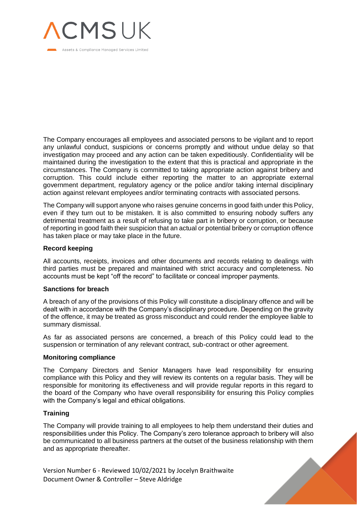

The Company encourages all employees and associated persons to be vigilant and to report any unlawful conduct, suspicions or concerns promptly and without undue delay so that investigation may proceed and any action can be taken expeditiously. Confidentiality will be maintained during the investigation to the extent that this is practical and appropriate in the circumstances. The Company is committed to taking appropriate action against bribery and corruption. This could include either reporting the matter to an appropriate external government department, regulatory agency or the police and/or taking internal disciplinary action against relevant employees and/or terminating contracts with associated persons.

The Company will support anyone who raises genuine concerns in good faith under this Policy, even if they turn out to be mistaken. It is also committed to ensuring nobody suffers any detrimental treatment as a result of refusing to take part in bribery or corruption, or because of reporting in good faith their suspicion that an actual or potential bribery or corruption offence has taken place or may take place in the future.

## **Record keeping**

All accounts, receipts, invoices and other documents and records relating to dealings with third parties must be prepared and maintained with strict accuracy and completeness. No accounts must be kept "off the record" to facilitate or conceal improper payments.

#### **Sanctions for breach**

A breach of any of the provisions of this Policy will constitute a disciplinary offence and will be dealt with in accordance with the Company's disciplinary procedure. Depending on the gravity of the offence, it may be treated as gross misconduct and could render the employee liable to summary dismissal.

As far as associated persons are concerned, a breach of this Policy could lead to the suspension or termination of any relevant contract, sub-contract or other agreement.

#### **Monitoring compliance**

The Company Directors and Senior Managers have lead responsibility for ensuring compliance with this Policy and they will review its contents on a regular basis. They will be responsible for monitoring its effectiveness and will provide regular reports in this regard to the board of the Company who have overall responsibility for ensuring this Policy complies with the Company's legal and ethical obligations.

#### **Training**

The Company will provide training to all employees to help them understand their duties and responsibilities under this Policy. The Company's zero tolerance approach to bribery will also be communicated to all business partners at the outset of the business relationship with them and as appropriate thereafter.

Version Number 6 - Reviewed 10/02/2021 by Jocelyn Braithwaite Document Owner & Controller – Steve Aldridge